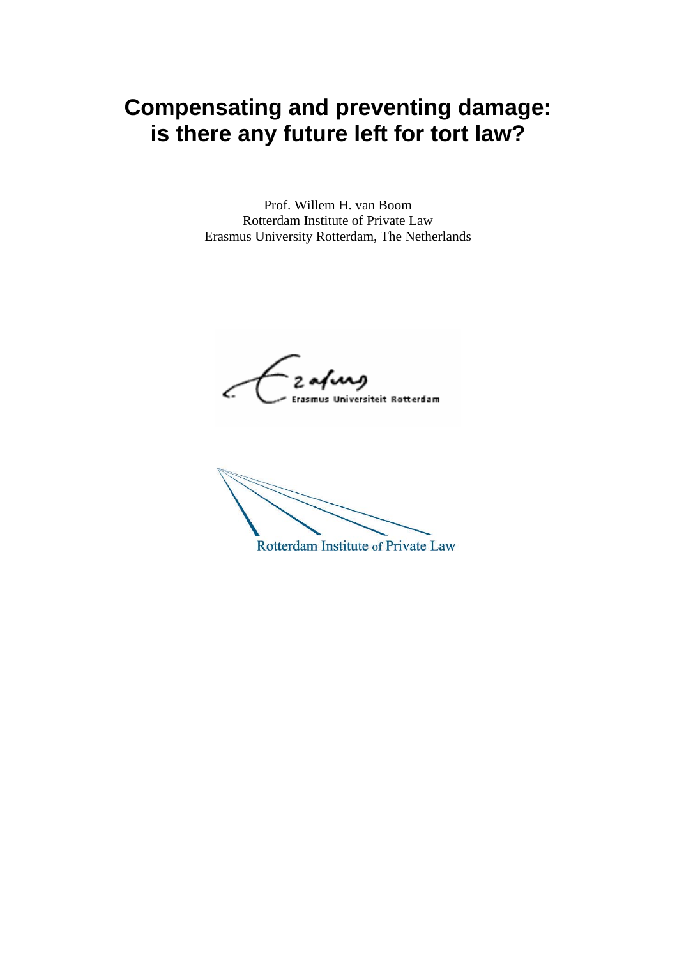# **Compensating and preventing damage: is there any future left for tort law?**

Prof. Willem H. van Boom Rotterdam Institute of Private Law Erasmus University Rotterdam, The Netherlands

2 aring Erasmus Universiteit Rotterdam

Rotterdam Institute of Private Law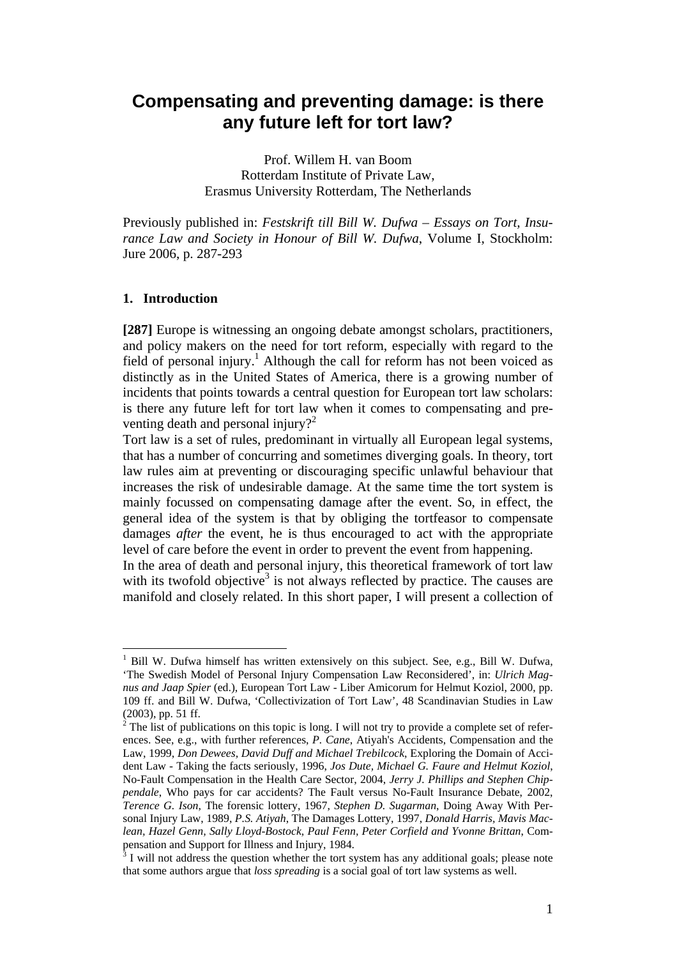# **Compensating and preventing damage: is there any future left for tort law?**

Prof. Willem H. van Boom Rotterdam Institute of Private Law, Erasmus University Rotterdam, The Netherlands

Previously published in: *Festskrift till Bill W. Dufwa – Essays on Tort, Insurance Law and Society in Honour of Bill W. Dufwa*, Volume I, Stockholm: Jure 2006, p. 287-293

#### **1. Introduction**

 $\overline{a}$ 

**[287]** Europe is witnessing an ongoing debate amongst scholars, practitioners, and policy makers on the need for tort reform, especially with regard to the field of personal injury.<sup>1</sup> Although the call for reform has not been voiced as distinctly as in the United States of America, there is a growing number of incidents that points towards a central question for European tort law scholars: is there any future left for tort law when it comes to compensating and preventing death and personal injury?<sup>2</sup>

Tort law is a set of rules, predominant in virtually all European legal systems, that has a number of concurring and sometimes diverging goals. In theory, tort law rules aim at preventing or discouraging specific unlawful behaviour that increases the risk of undesirable damage. At the same time the tort system is mainly focussed on compensating damage after the event. So, in effect, the general idea of the system is that by obliging the tortfeasor to compensate damages *after* the event, he is thus encouraged to act with the appropriate level of care before the event in order to prevent the event from happening.

In the area of death and personal injury, this theoretical framework of tort law with its twofold objective<sup>3</sup> is not always reflected by practice. The causes are manifold and closely related. In this short paper, I will present a collection of

<sup>&</sup>lt;sup>1</sup> Bill W. Dufwa himself has written extensively on this subject. See, e.g., Bill W. Dufwa, 'The Swedish Model of Personal Injury Compensation Law Reconsidered', in: *Ulrich Magnus and Jaap Spier* (ed.), European Tort Law - Liber Amicorum for Helmut Koziol, 2000, pp. 109 ff. and Bill W. Dufwa, 'Collectivization of Tort Law', 48 Scandinavian Studies in Law (2003), pp. 51 ff.

 $2^2$  The list of publications on this topic is long. I will not try to provide a complete set of references. See, e.g., with further references, *P. Cane*, Atiyah's Accidents, Compensation and the Law, 1999, *Don Dewees, David Duff and Michael Trebilcock*, Exploring the Domain of Accident Law - Taking the facts seriously, 1996, *Jos Dute, Michael G. Faure and Helmut Koziol*, No-Fault Compensation in the Health Care Sector, 2004, *Jerry J. Phillips and Stephen Chippendale*, Who pays for car accidents? The Fault versus No-Fault Insurance Debate, 2002, *Terence G. Ison*, The forensic lottery, 1967, *Stephen D. Sugarman*, Doing Away With Personal Injury Law, 1989, *P.S. Atiyah*, The Damages Lottery, 1997, *Donald Harris, Mavis Maclean, Hazel Genn, Sally Lloyd-Bostock, Paul Fenn, Peter Corfield and Yvonne Brittan*, Compensation and Support for Illness and Injury, 1984.

I will not address the question whether the tort system has any additional goals; please note that some authors argue that *loss spreading* is a social goal of tort law systems as well.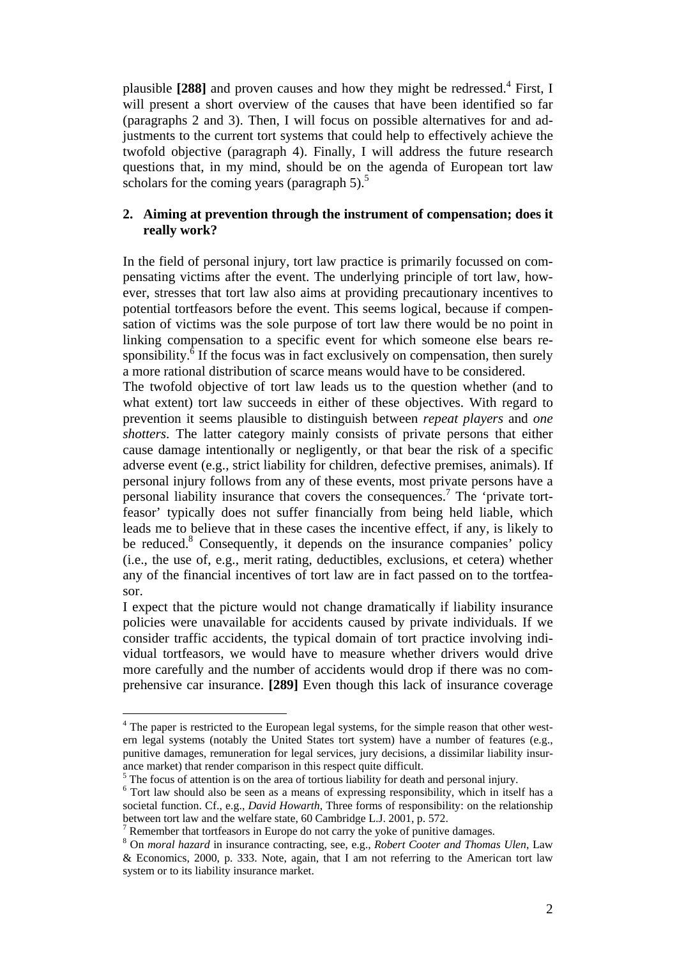plausible [288] and proven causes and how they might be redressed.<sup>4</sup> First, I will present a short overview of the causes that have been identified so far (paragraphs 2 and 3). Then, I will focus on possible alternatives for and adjustments to the current tort systems that could help to effectively achieve the twofold objective (paragraph 4). Finally, I will address the future research questions that, in my mind, should be on the agenda of European tort law scholars for the coming years (paragraph 5). $<sup>5</sup>$ </sup>

# **2. Aiming at prevention through the instrument of compensation; does it really work?**

In the field of personal injury, tort law practice is primarily focussed on compensating victims after the event. The underlying principle of tort law, however, stresses that tort law also aims at providing precautionary incentives to potential tortfeasors before the event. This seems logical, because if compensation of victims was the sole purpose of tort law there would be no point in linking compensation to a specific event for which someone else bears responsibility. $\delta$  If the focus was in fact exclusively on compensation, then surely a more rational distribution of scarce means would have to be considered.

The twofold objective of tort law leads us to the question whether (and to what extent) tort law succeeds in either of these objectives. With regard to prevention it seems plausible to distinguish between *repeat players* and *one shotters*. The latter category mainly consists of private persons that either cause damage intentionally or negligently, or that bear the risk of a specific adverse event (e.g., strict liability for children, defective premises, animals). If personal injury follows from any of these events, most private persons have a personal liability insurance that covers the consequences.<sup>7</sup> The 'private tortfeasor' typically does not suffer financially from being held liable, which leads me to believe that in these cases the incentive effect, if any, is likely to be reduced.<sup>8</sup> Consequently, it depends on the insurance companies' policy (i.e., the use of, e.g., merit rating, deductibles, exclusions, et cetera) whether any of the financial incentives of tort law are in fact passed on to the tortfeasor.

I expect that the picture would not change dramatically if liability insurance policies were unavailable for accidents caused by private individuals. If we consider traffic accidents, the typical domain of tort practice involving individual tortfeasors, we would have to measure whether drivers would drive more carefully and the number of accidents would drop if there was no comprehensive car insurance. **[289]** Even though this lack of insurance coverage

<sup>&</sup>lt;sup>4</sup> The paper is restricted to the European legal systems, for the simple reason that other western legal systems (notably the United States tort system) have a number of features (e.g., punitive damages, remuneration for legal services, jury decisions, a dissimilar liability insurance market) that render comparison in this respect quite difficult.

 $\overline{\phantom{a}}^5$  The focus of attention is on the area of tortious liability for death and personal injury.

<sup>&</sup>lt;sup>6</sup> Tort law should also be seen as a means of expressing responsibility, which in itself has a societal function. Cf., e.g., *David Howarth*, Three forms of responsibility: on the relationship between tort law and the welfare state, 60 Cambridge L.J. 2001, p. 572.

Remember that tortfeasors in Europe do not carry the yoke of punitive damages.

<sup>8</sup> On *moral hazard* in insurance contracting, see, e.g., *Robert Cooter and Thomas Ulen*, Law & Economics, 2000, p. 333. Note, again, that I am not referring to the American tort law system or to its liability insurance market.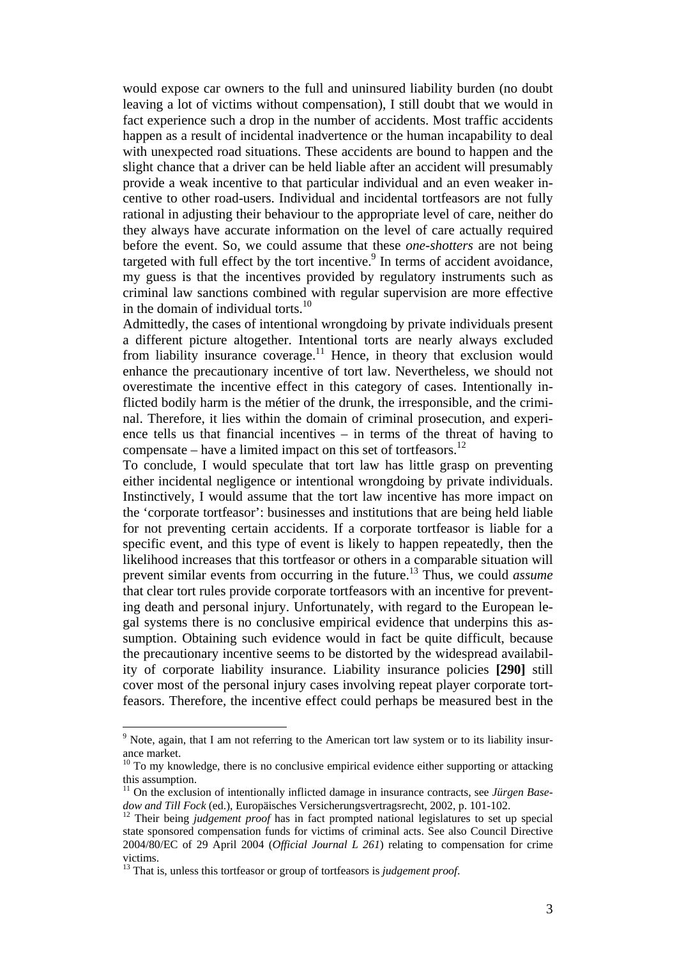would expose car owners to the full and uninsured liability burden (no doubt leaving a lot of victims without compensation), I still doubt that we would in fact experience such a drop in the number of accidents. Most traffic accidents happen as a result of incidental inadvertence or the human incapability to deal with unexpected road situations. These accidents are bound to happen and the slight chance that a driver can be held liable after an accident will presumably provide a weak incentive to that particular individual and an even weaker incentive to other road-users. Individual and incidental tortfeasors are not fully rational in adjusting their behaviour to the appropriate level of care, neither do they always have accurate information on the level of care actually required before the event. So, we could assume that these *one-shotters* are not being targeted with full effect by the tort incentive. $9$  In terms of accident avoidance, my guess is that the incentives provided by regulatory instruments such as criminal law sanctions combined with regular supervision are more effective in the domain of individual torts.<sup>10</sup>

Admittedly, the cases of intentional wrongdoing by private individuals present a different picture altogether. Intentional torts are nearly always excluded from liability insurance coverage.<sup>11</sup> Hence, in theory that exclusion would enhance the precautionary incentive of tort law. Nevertheless, we should not overestimate the incentive effect in this category of cases. Intentionally inflicted bodily harm is the métier of the drunk, the irresponsible, and the criminal. Therefore, it lies within the domain of criminal prosecution, and experience tells us that financial incentives – in terms of the threat of having to compensate – have a limited impact on this set of tortfeasors.<sup>12</sup>

To conclude, I would speculate that tort law has little grasp on preventing either incidental negligence or intentional wrongdoing by private individuals. Instinctively, I would assume that the tort law incentive has more impact on the 'corporate tortfeasor': businesses and institutions that are being held liable for not preventing certain accidents. If a corporate tortfeasor is liable for a specific event, and this type of event is likely to happen repeatedly, then the likelihood increases that this tortfeasor or others in a comparable situation will prevent similar events from occurring in the future.13 Thus, we could *assume* that clear tort rules provide corporate tortfeasors with an incentive for preventing death and personal injury. Unfortunately, with regard to the European legal systems there is no conclusive empirical evidence that underpins this assumption. Obtaining such evidence would in fact be quite difficult, because the precautionary incentive seems to be distorted by the widespread availability of corporate liability insurance. Liability insurance policies **[290]** still cover most of the personal injury cases involving repeat player corporate tortfeasors. Therefore, the incentive effect could perhaps be measured best in the

 $9$  Note, again, that I am not referring to the American tort law system or to its liability insurance market.

<sup>&</sup>lt;sup>10</sup> To my knowledge, there is no conclusive empirical evidence either supporting or attacking this assumption.

<sup>&</sup>lt;sup>11</sup> On the exclusion of intentionally inflicted damage in insurance contracts, see *Jürgen Basedow and Till Fock* (ed.), Europäisches Versicherungsvertragsrecht, 2002, p. 101-102.<br><sup>12</sup> Their being *judgement proof* has in fact prompted national legislatures to set up special

state sponsored compensation funds for victims of criminal acts. See also Council Directive 2004/80/EC of 29 April 2004 (*Official Journal L 261*) relating to compensation for crime victims.

<sup>13</sup> That is, unless this tortfeasor or group of tortfeasors is *judgement proof*.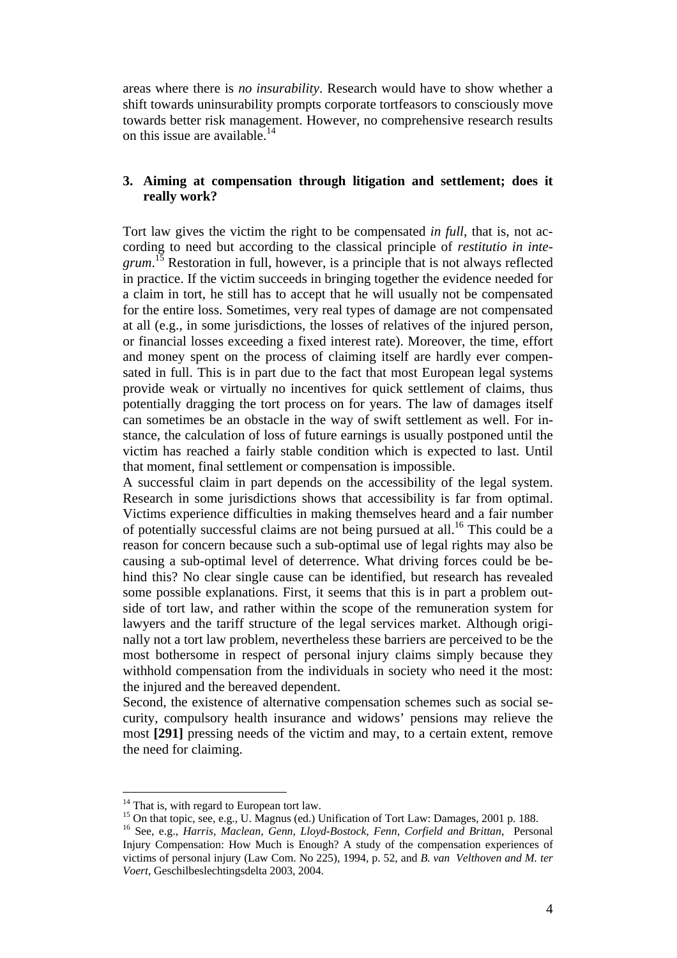areas where there is *no insurability*. Research would have to show whether a shift towards uninsurability prompts corporate tortfeasors to consciously move towards better risk management. However, no comprehensive research results on this issue are available. $14$ 

## **3. Aiming at compensation through litigation and settlement; does it really work?**

Tort law gives the victim the right to be compensated *in full*, that is, not according to need but according to the classical principle of *restitutio in inte*grum.<sup>15</sup> Restoration in full, however, is a principle that is not always reflected in practice. If the victim succeeds in bringing together the evidence needed for a claim in tort, he still has to accept that he will usually not be compensated for the entire loss. Sometimes, very real types of damage are not compensated at all (e.g., in some jurisdictions, the losses of relatives of the injured person, or financial losses exceeding a fixed interest rate). Moreover, the time, effort and money spent on the process of claiming itself are hardly ever compensated in full. This is in part due to the fact that most European legal systems provide weak or virtually no incentives for quick settlement of claims, thus potentially dragging the tort process on for years. The law of damages itself can sometimes be an obstacle in the way of swift settlement as well. For instance, the calculation of loss of future earnings is usually postponed until the victim has reached a fairly stable condition which is expected to last. Until that moment, final settlement or compensation is impossible.

A successful claim in part depends on the accessibility of the legal system. Research in some jurisdictions shows that accessibility is far from optimal. Victims experience difficulties in making themselves heard and a fair number of potentially successful claims are not being pursued at all.<sup>16</sup> This could be a reason for concern because such a sub-optimal use of legal rights may also be causing a sub-optimal level of deterrence. What driving forces could be behind this? No clear single cause can be identified, but research has revealed some possible explanations. First, it seems that this is in part a problem outside of tort law, and rather within the scope of the remuneration system for lawyers and the tariff structure of the legal services market. Although originally not a tort law problem, nevertheless these barriers are perceived to be the most bothersome in respect of personal injury claims simply because they withhold compensation from the individuals in society who need it the most: the injured and the bereaved dependent.

Second, the existence of alternative compensation schemes such as social security, compulsory health insurance and widows' pensions may relieve the most **[291]** pressing needs of the victim and may, to a certain extent, remove the need for claiming.

 $14$  That is, with regard to European tort law.

<sup>&</sup>lt;sup>15</sup> On that topic, see, e.g., U. Magnus (ed.) Unification of Tort Law: Damages, 2001 p. 188.

<sup>16</sup> See, e.g., *Harris, Maclean, Genn, Lloyd-Bostock, Fenn, Corfield and Brittan*, Personal Injury Compensation: How Much is Enough? A study of the compensation experiences of victims of personal injury (Law Com. No 225), 1994, p. 52, and *B. van Velthoven and M. ter Voert*, Geschilbeslechtingsdelta 2003, 2004.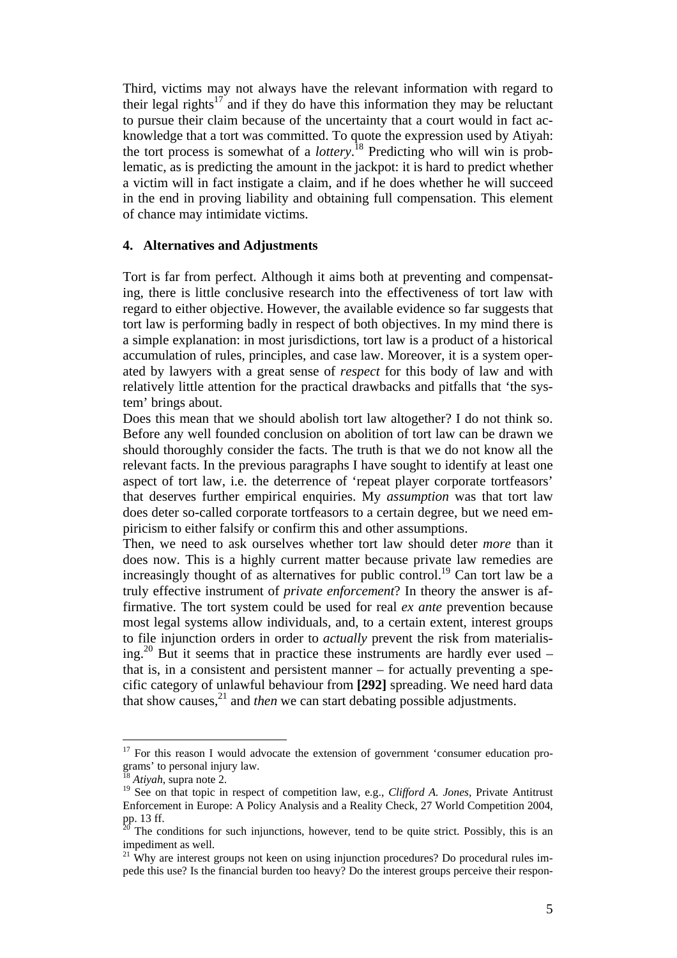Third, victims may not always have the relevant information with regard to their legal rights<sup>17</sup> and if they do have this information they may be reluctant to pursue their claim because of the uncertainty that a court would in fact acknowledge that a tort was committed. To quote the expression used by Atiyah: the tort process is somewhat of a *lottery*. 18 Predicting who will win is problematic, as is predicting the amount in the jackpot: it is hard to predict whether a victim will in fact instigate a claim, and if he does whether he will succeed in the end in proving liability and obtaining full compensation. This element of chance may intimidate victims.

### **4. Alternatives and Adjustments**

Tort is far from perfect. Although it aims both at preventing and compensating, there is little conclusive research into the effectiveness of tort law with regard to either objective. However, the available evidence so far suggests that tort law is performing badly in respect of both objectives. In my mind there is a simple explanation: in most jurisdictions, tort law is a product of a historical accumulation of rules, principles, and case law. Moreover, it is a system operated by lawyers with a great sense of *respect* for this body of law and with relatively little attention for the practical drawbacks and pitfalls that 'the system' brings about.

Does this mean that we should abolish tort law altogether? I do not think so. Before any well founded conclusion on abolition of tort law can be drawn we should thoroughly consider the facts. The truth is that we do not know all the relevant facts. In the previous paragraphs I have sought to identify at least one aspect of tort law, i.e. the deterrence of 'repeat player corporate tortfeasors' that deserves further empirical enquiries. My *assumption* was that tort law does deter so-called corporate tortfeasors to a certain degree, but we need empiricism to either falsify or confirm this and other assumptions.

Then, we need to ask ourselves whether tort law should deter *more* than it does now. This is a highly current matter because private law remedies are increasingly thought of as alternatives for public control.<sup>19</sup> Can tort law be a truly effective instrument of *private enforcement*? In theory the answer is affirmative. The tort system could be used for real *ex ante* prevention because most legal systems allow individuals, and, to a certain extent, interest groups to file injunction orders in order to *actually* prevent the risk from materialising.<sup>20</sup> But it seems that in practice these instruments are hardly ever used – that is, in a consistent and persistent manner – for actually preventing a specific category of unlawful behaviour from **[292]** spreading. We need hard data that show causes, $^{21}$  and *then* we can start debating possible adjustments.

<sup>&</sup>lt;sup>17</sup> For this reason I would advocate the extension of government 'consumer education programs' to personal injury law.

<sup>18</sup> *Atiyah*, supra note 2.

<sup>&</sup>lt;sup>19</sup> See on that topic in respect of competition law, e.g., *Clifford A. Jones*, Private Antitrust Enforcement in Europe: A Policy Analysis and a Reality Check, 27 World Competition 2004, pp. 13 ff.

The conditions for such injunctions, however, tend to be quite strict. Possibly, this is an impediment as well.

 $21$  Why are interest groups not keen on using injunction procedures? Do procedural rules impede this use? Is the financial burden too heavy? Do the interest groups perceive their respon-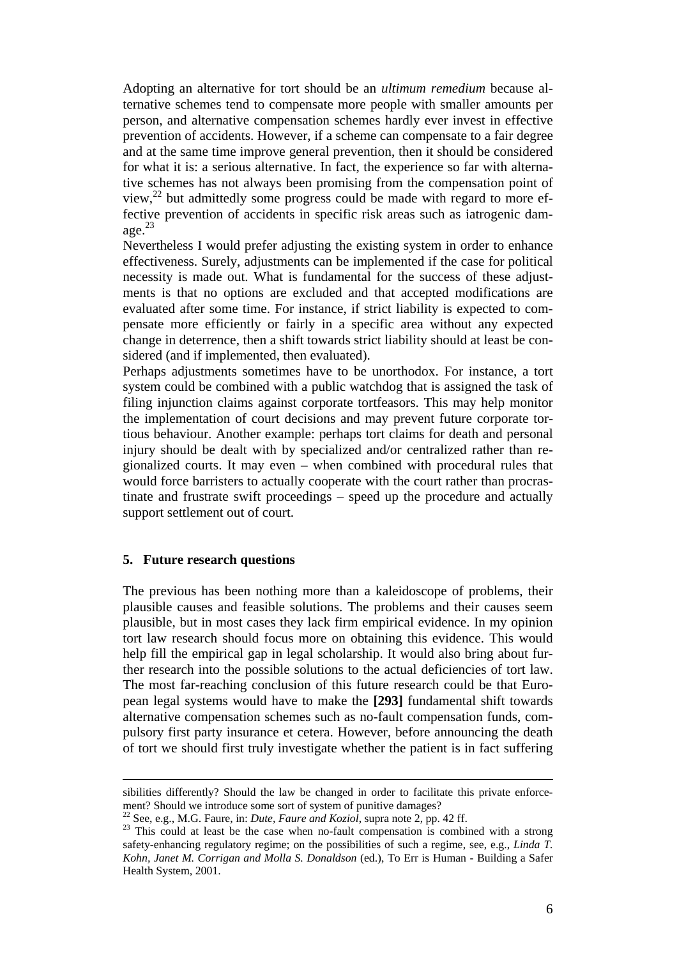Adopting an alternative for tort should be an *ultimum remedium* because alternative schemes tend to compensate more people with smaller amounts per person, and alternative compensation schemes hardly ever invest in effective prevention of accidents. However, if a scheme can compensate to a fair degree and at the same time improve general prevention, then it should be considered for what it is: a serious alternative. In fact, the experience so far with alternative schemes has not always been promising from the compensation point of view, $^{22}$  but admittedly some progress could be made with regard to more effective prevention of accidents in specific risk areas such as iatrogenic damage. $^{23}$ 

Nevertheless I would prefer adjusting the existing system in order to enhance effectiveness. Surely, adjustments can be implemented if the case for political necessity is made out. What is fundamental for the success of these adjustments is that no options are excluded and that accepted modifications are evaluated after some time. For instance, if strict liability is expected to compensate more efficiently or fairly in a specific area without any expected change in deterrence, then a shift towards strict liability should at least be considered (and if implemented, then evaluated).

Perhaps adjustments sometimes have to be unorthodox. For instance, a tort system could be combined with a public watchdog that is assigned the task of filing injunction claims against corporate tortfeasors. This may help monitor the implementation of court decisions and may prevent future corporate tortious behaviour. Another example: perhaps tort claims for death and personal injury should be dealt with by specialized and/or centralized rather than regionalized courts. It may even – when combined with procedural rules that would force barristers to actually cooperate with the court rather than procrastinate and frustrate swift proceedings – speed up the procedure and actually support settlement out of court.

### **5. Future research questions**

 $\overline{a}$ 

The previous has been nothing more than a kaleidoscope of problems, their plausible causes and feasible solutions. The problems and their causes seem plausible, but in most cases they lack firm empirical evidence. In my opinion tort law research should focus more on obtaining this evidence. This would help fill the empirical gap in legal scholarship. It would also bring about further research into the possible solutions to the actual deficiencies of tort law. The most far-reaching conclusion of this future research could be that European legal systems would have to make the **[293]** fundamental shift towards alternative compensation schemes such as no-fault compensation funds, compulsory first party insurance et cetera. However, before announcing the death of tort we should first truly investigate whether the patient is in fact suffering

sibilities differently? Should the law be changed in order to facilitate this private enforcement? Should we introduce some sort of system of punitive damages?<br><sup>22</sup> See, e.g., M.G. Faure, in: *Dute, Faure and Koziol*, supra note 2, pp. 42 ff.

<sup>&</sup>lt;sup>23</sup> This could at least be the case when no-fault compensation is combined with a strong safety-enhancing regulatory regime; on the possibilities of such a regime, see, e.g., *Linda T. Kohn, Janet M. Corrigan and Molla S. Donaldson* (ed.), To Err is Human - Building a Safer Health System, 2001.